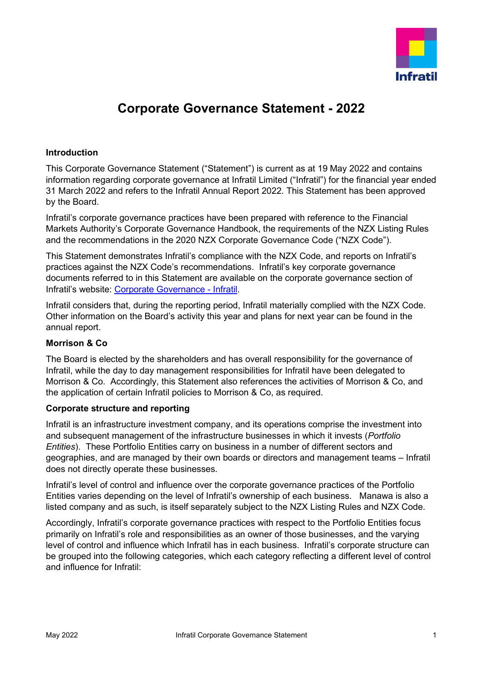

# **Corporate Governance Statement - 2022**

#### **Introduction**

This Corporate Governance Statement ("Statement") is current as at 19 May 2022 and contains information regarding corporate governance at Infratil Limited ("Infratil") for the financial year ended 31 March 2022 and refers to the Infratil Annual Report 2022. This Statement has been approved by the Board.

Infratil's corporate governance practices have been prepared with reference to the Financial Markets Authority's Corporate Governance Handbook, the requirements of the NZX Listing Rules and the recommendations in the 2020 NZX Corporate Governance Code ("NZX Code").

This Statement demonstrates Infratil's compliance with the NZX Code, and reports on Infratil's practices against the NZX Code's recommendations. Infratil's key corporate governance documents referred to in this Statement are available on the corporate governance section of Infratil's website: [Corporate Governance - Infratil.](https://infratil.com/about-infratil/board/#our-governance-documents)

Infratil considers that, during the reporting period, Infratil materially complied with the NZX Code. Other information on the Board's activity this year and plans for next year can be found in the annual report.

#### **Morrison & Co**

The Board is elected by the shareholders and has overall responsibility for the governance of Infratil, while the day to day management responsibilities for Infratil have been delegated to Morrison & Co. Accordingly, this Statement also references the activities of Morrison & Co, and the application of certain Infratil policies to Morrison & Co, as required.

#### **Corporate structure and reporting**

Infratil is an infrastructure investment company, and its operations comprise the investment into and subsequent management of the infrastructure businesses in which it invests (*Portfolio Entities*). These Portfolio Entities carry on business in a number of different sectors and geographies, and are managed by their own boards or directors and management teams – Infratil does not directly operate these businesses.

Infratil's level of control and influence over the corporate governance practices of the Portfolio Entities varies depending on the level of Infratil's ownership of each business. Manawa is also a listed company and as such, is itself separately subject to the NZX Listing Rules and NZX Code.

Accordingly, Infratil's corporate governance practices with respect to the Portfolio Entities focus primarily on Infratil's role and responsibilities as an owner of those businesses, and the varying level of control and influence which Infratil has in each business. Infratil's corporate structure can be grouped into the following categories, which each category reflecting a different level of control and influence for Infratil: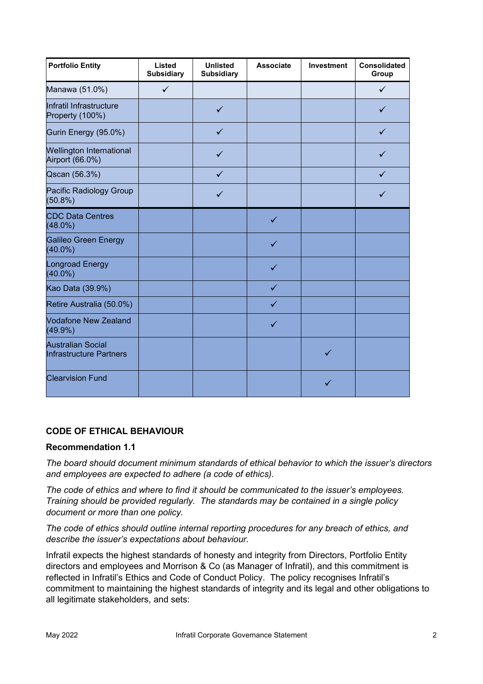| <b>Portfolio Entity</b>                                    | Listed<br><b>Subsidiary</b> | <b>Unlisted</b><br><b>Subsidiary</b> | <b>Associate</b> | Investment | <b>Consolidated</b><br>Group |
|------------------------------------------------------------|-----------------------------|--------------------------------------|------------------|------------|------------------------------|
| Manawa (51.0%)                                             | $\checkmark$                |                                      |                  |            | $\checkmark$                 |
| Infratil Infrastructure<br>Property (100%)                 |                             | ✓                                    |                  |            |                              |
| Gurin Energy (95.0%)                                       |                             | $\checkmark$                         |                  |            | ✓                            |
| <b>Wellington International</b><br>Airport (66.0%)         |                             | ✓                                    |                  |            |                              |
| Qscan (56.3%)                                              |                             | $\checkmark$                         |                  |            | $\checkmark$                 |
| Pacific Radiology Group<br>$(50.8\%)$                      |                             | $\checkmark$                         |                  |            |                              |
| <b>CDC Data Centres</b><br>$(48.0\%)$                      |                             |                                      | $\checkmark$     |            |                              |
| <b>Galileo Green Energy</b><br>$(40.0\%)$                  |                             |                                      | ✓                |            |                              |
| <b>Longroad Energy</b><br>$(40.0\%)$                       |                             |                                      | $\checkmark$     |            |                              |
| Kao Data (39.9%)                                           |                             |                                      | $\checkmark$     |            |                              |
| Retire Australia (50.0%)                                   |                             |                                      | ✓                |            |                              |
| <b>Vodafone New Zealand</b><br>$(49.9\%)$                  |                             |                                      | ✓                |            |                              |
| <b>Australian Social</b><br><b>Infrastructure Partners</b> |                             |                                      |                  | ✓          |                              |
| <b>Clearvision Fund</b>                                    |                             |                                      |                  | ✓          |                              |

# **CODE OF ETHICAL BEHAVIOUR**

#### **Recommendation 1.1**

*The board should document minimum standards of ethical behavior to which the issuer's directors and employees are expected to adhere (a code of ethics).* 

*The code of ethics and where to find it should be communicated to the issuer's employees. Training should be provided regularly. The standards may be contained in a single policy document or more than one policy.*

*The code of ethics should outline internal reporting procedures for any breach of ethics, and describe the issuer's expectations about behaviour.*

Infratil expects the highest standards of honesty and integrity from Directors, Portfolio Entity directors and employees and Morrison & Co (as Manager of Infratil), and this commitment is reflected in Infratil's Ethics and Code of Conduct Policy. The policy recognises Infratil's commitment to maintaining the highest standards of integrity and its legal and other obligations to all legitimate stakeholders, and sets: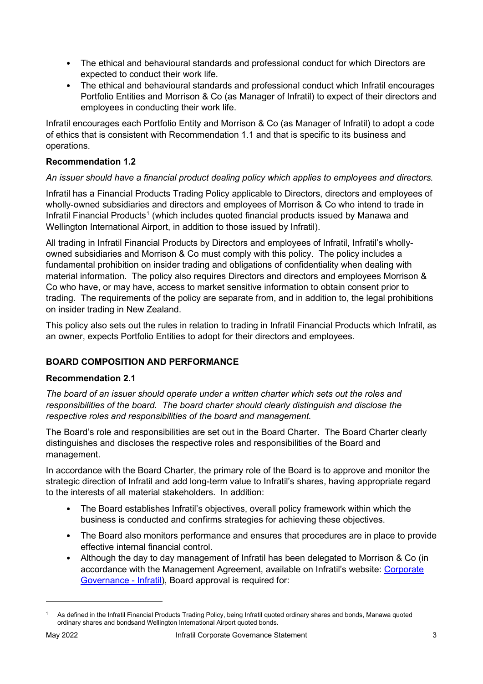- The ethical and behavioural standards and professional conduct for which Directors are expected to conduct their work life.
- The ethical and behavioural standards and professional conduct which Infratil encourages Portfolio Entities and Morrison & Co (as Manager of Infratil) to expect of their directors and employees in conducting their work life.

Infratil encourages each Portfolio Entity and Morrison & Co (as Manager of Infratil) to adopt a code of ethics that is consistent with Recommendation 1.1 and that is specific to its business and operations.

# **Recommendation 1.2**

# *An issuer should have a financial product dealing policy which applies to employees and directors.*

Infratil has a Financial Products Trading Policy applicable to Directors, directors and employees of wholly-owned subsidiaries and directors and employees of Morrison & Co who intend to trade in Infratil Financial Products<sup>[1](#page-2-0)</sup> (which includes quoted financial products issued by Manawa and Wellington International Airport, in addition to those issued by Infratil).

All trading in Infratil Financial Products by Directors and employees of Infratil, Infratil's whollyowned subsidiaries and Morrison & Co must comply with this policy. The policy includes a fundamental prohibition on insider trading and obligations of confidentiality when dealing with material information. The policy also requires Directors and directors and employees Morrison & Co who have, or may have, access to market sensitive information to obtain consent prior to trading. The requirements of the policy are separate from, and in addition to, the legal prohibitions on insider trading in New Zealand.

This policy also sets out the rules in relation to trading in Infratil Financial Products which Infratil, as an owner, expects Portfolio Entities to adopt for their directors and employees.

# **BOARD COMPOSITION AND PERFORMANCE**

# **Recommendation 2.1**

*The board of an issuer should operate under a written charter which sets out the roles and responsibilities of the board. The board charter should clearly distinguish and disclose the respective roles and responsibilities of the board and management.* 

The Board's role and responsibilities are set out in the Board Charter. The Board Charter clearly distinguishes and discloses the respective roles and responsibilities of the Board and management.

In accordance with the Board Charter, the primary role of the Board is to approve and monitor the strategic direction of Infratil and add long-term value to Infratil's shares, having appropriate regard to the interests of all material stakeholders. In addition:

- The Board establishes Infratil's objectives, overall policy framework within which the business is conducted and confirms strategies for achieving these objectives.
- The Board also monitors performance and ensures that procedures are in place to provide effective internal financial control.
- Although the day to day management of Infratil has been delegated to Morrison & Co (in accordance with the Management Agreement, available on Infratil's website: [Corporate](https://infratil.com/about-infratil/board/#our-governance-documents)  [Governance - Infratil\)](https://infratil.com/about-infratil/board/#our-governance-documents), Board approval is required for:

<span id="page-2-0"></span><sup>1</sup> As defined in the Infratil Financial Products Trading Policy, being Infratil quoted ordinary shares and bonds, Manawa quoted ordinary shares and bondsand Wellington International Airport quoted bonds.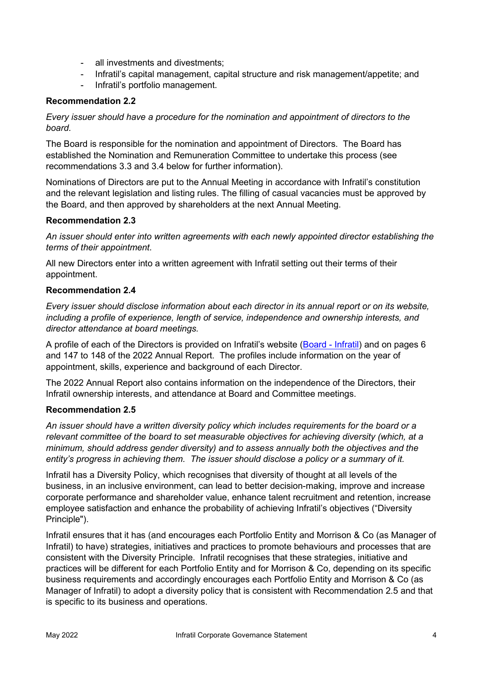- all investments and divestments;
- Infratil's capital management, capital structure and risk management/appetite; and
- Infratil's portfolio management.

# **Recommendation 2.2**

*Every issuer should have a procedure for the nomination and appointment of directors to the board.* 

The Board is responsible for the nomination and appointment of Directors. The Board has established the Nomination and Remuneration Committee to undertake this process (see recommendations 3.3 and 3.4 below for further information).

Nominations of Directors are put to the Annual Meeting in accordance with Infratil's constitution and the relevant legislation and listing rules. The filling of casual vacancies must be approved by the Board, and then approved by shareholders at the next Annual Meeting.

## **Recommendation 2.3**

*An issuer should enter into written agreements with each newly appointed director establishing the terms of their appointment.* 

All new Directors enter into a written agreement with Infratil setting out their terms of their appointment.

#### **Recommendation 2.4**

*Every issuer should disclose information about each director in its annual report or on its website, including a profile of experience, length of service, independence and ownership interests, and director attendance at board meetings.* 

A profile of each of the Directors is provided on Infratil's website [\(Board - Infratil\)](https://infratil.com/about-infratil/board/) and on pages 6 and 147 to 148 of the 2022 Annual Report. The profiles include information on the year of appointment, skills, experience and background of each Director.

The 2022 Annual Report also contains information on the independence of the Directors, their Infratil ownership interests, and attendance at Board and Committee meetings.

#### **Recommendation 2.5**

*An issuer should have a written diversity policy which includes requirements for the board or a relevant committee of the board to set measurable objectives for achieving diversity (which, at a minimum, should address gender diversity) and to assess annually both the objectives and the entity's progress in achieving them. The issuer should disclose a policy or a summary of it.*

Infratil has a Diversity Policy, which recognises that diversity of thought at all levels of the business, in an inclusive environment, can lead to better decision-making, improve and increase corporate performance and shareholder value, enhance talent recruitment and retention, increase employee satisfaction and enhance the probability of achieving Infratil's objectives ("Diversity Principle").

Infratil ensures that it has (and encourages each Portfolio Entity and Morrison & Co (as Manager of Infratil) to have) strategies, initiatives and practices to promote behaviours and processes that are consistent with the Diversity Principle. Infratil recognises that these strategies, initiative and practices will be different for each Portfolio Entity and for Morrison & Co, depending on its specific business requirements and accordingly encourages each Portfolio Entity and Morrison & Co (as Manager of Infratil) to adopt a diversity policy that is consistent with Recommendation 2.5 and that is specific to its business and operations.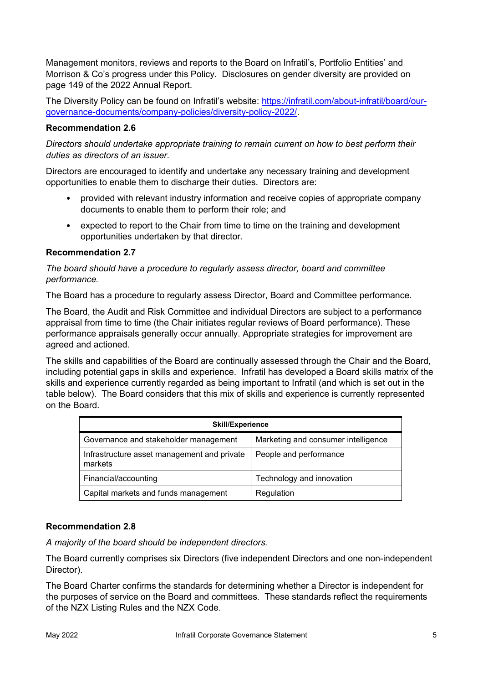Management monitors, reviews and reports to the Board on Infratil's, Portfolio Entities' and Morrison & Co's progress under this Policy. Disclosures on gender diversity are provided on page 149 of the 2022 Annual Report.

The Diversity Policy can be found on Infratil's website: [https://infratil.com/about-infratil/board/our](https://infratil.com/about-infratil/board/our-governance-documents/company-policies/diversity-policy-2022/)[governance-documents/company-policies/diversity-policy-2022/.](https://infratil.com/about-infratil/board/our-governance-documents/company-policies/diversity-policy-2022/)

# **Recommendation 2.6**

*Directors should undertake appropriate training to remain current on how to best perform their duties as directors of an issuer.*

Directors are encouraged to identify and undertake any necessary training and development opportunities to enable them to discharge their duties. Directors are:

- provided with relevant industry information and receive copies of appropriate company documents to enable them to perform their role; and
- expected to report to the Chair from time to time on the training and development opportunities undertaken by that director.

# **Recommendation 2.7**

*The board should have a procedure to regularly assess director, board and committee performance.*

The Board has a procedure to regularly assess Director, Board and Committee performance.

The Board, the Audit and Risk Committee and individual Directors are subject to a performance appraisal from time to time (the Chair initiates regular reviews of Board performance). These performance appraisals generally occur annually. Appropriate strategies for improvement are agreed and actioned.

The skills and capabilities of the Board are continually assessed through the Chair and the Board, including potential gaps in skills and experience. Infratil has developed a Board skills matrix of the skills and experience currently regarded as being important to Infratil (and which is set out in the table below). The Board considers that this mix of skills and experience is currently represented on the Board.

| <b>Skill/Experience</b>                                |                                     |  |  |  |
|--------------------------------------------------------|-------------------------------------|--|--|--|
| Governance and stakeholder management                  | Marketing and consumer intelligence |  |  |  |
| Infrastructure asset management and private<br>markets | People and performance              |  |  |  |
| Financial/accounting                                   | Technology and innovation           |  |  |  |
| Capital markets and funds management                   | Regulation                          |  |  |  |

# **Recommendation 2.8**

*A majority of the board should be independent directors.*

The Board currently comprises six Directors (five independent Directors and one non-independent Director).

The Board Charter confirms the standards for determining whether a Director is independent for the purposes of service on the Board and committees. These standards reflect the requirements of the NZX Listing Rules and the NZX Code.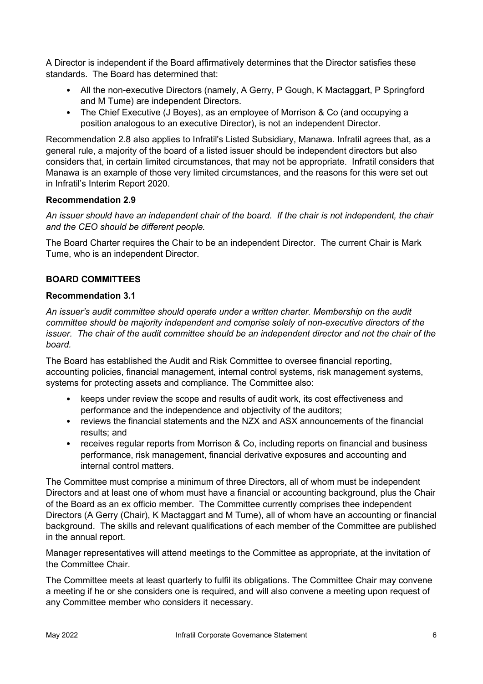A Director is independent if the Board affirmatively determines that the Director satisfies these standards. The Board has determined that:

- All the non-executive Directors (namely, A Gerry, P Gough, K Mactaggart, P Springford and M Tume) are independent Directors.
- The Chief Executive (J Boyes), as an employee of Morrison & Co (and occupying a position analogous to an executive Director), is not an independent Director.

Recommendation 2.8 also applies to Infratil's Listed Subsidiary, Manawa. Infratil agrees that, as a general rule, a majority of the board of a listed issuer should be independent directors but also considers that, in certain limited circumstances, that may not be appropriate. Infratil considers that Manawa is an example of those very limited circumstances, and the reasons for this were set out in Infratil's Interim Report 2020.

# **Recommendation 2.9**

*An issuer should have an independent chair of the board. If the chair is not independent, the chair and the CEO should be different people.*

The Board Charter requires the Chair to be an independent Director. The current Chair is Mark Tume, who is an independent Director.

# **BOARD COMMITTEES**

## **Recommendation 3.1**

*An issuer's audit committee should operate under a written charter. Membership on the audit committee should be majority independent and comprise solely of non-executive directors of the issuer. The chair of the audit committee should be an independent director and not the chair of the board.* 

The Board has established the Audit and Risk Committee to oversee financial reporting, accounting policies, financial management, internal control systems, risk management systems, systems for protecting assets and compliance. The Committee also:

- keeps under review the scope and results of audit work, its cost effectiveness and performance and the independence and objectivity of the auditors;
- reviews the financial statements and the NZX and ASX announcements of the financial results; and
- receives regular reports from Morrison & Co, including reports on financial and business performance, risk management, financial derivative exposures and accounting and internal control matters.

The Committee must comprise a minimum of three Directors, all of whom must be independent Directors and at least one of whom must have a financial or accounting background, plus the Chair of the Board as an ex officio member. The Committee currently comprises thee independent Directors (A Gerry (Chair), K Mactaggart and M Tume), all of whom have an accounting or financial background. The skills and relevant qualifications of each member of the Committee are published in the annual report.

Manager representatives will attend meetings to the Committee as appropriate, at the invitation of the Committee Chair.

The Committee meets at least quarterly to fulfil its obligations. The Committee Chair may convene a meeting if he or she considers one is required, and will also convene a meeting upon request of any Committee member who considers it necessary.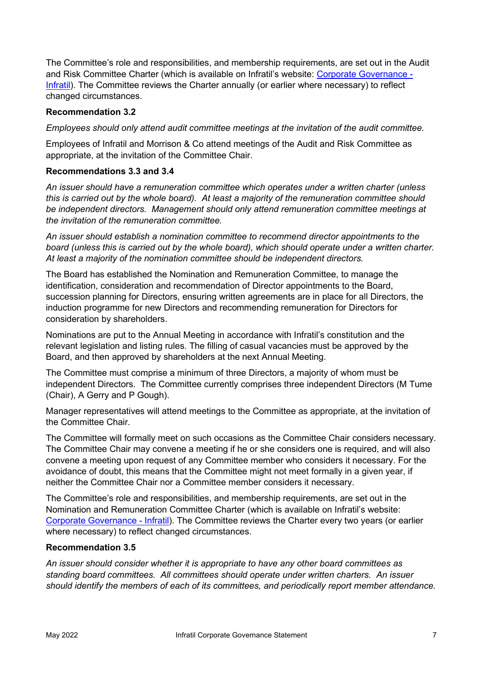The Committee's role and responsibilities, and membership requirements, are set out in the Audit and Risk Committee Charter (which is available on Infratil's website: Corporate Governance -[Infratil\)](https://infratil.com/about-infratil/board/#our-governance-documents). The Committee reviews the Charter annually (or earlier where necessary) to reflect changed circumstances.

# **Recommendation 3.2**

*Employees should only attend audit committee meetings at the invitation of the audit committee.* 

Employees of Infratil and Morrison & Co attend meetings of the Audit and Risk Committee as appropriate, at the invitation of the Committee Chair.

# **Recommendations 3.3 and 3.4**

*An issuer should have a remuneration committee which operates under a written charter (unless this is carried out by the whole board). At least a majority of the remuneration committee should be independent directors. Management should only attend remuneration committee meetings at the invitation of the remuneration committee.* 

*An issuer should establish a nomination committee to recommend director appointments to the board (unless this is carried out by the whole board), which should operate under a written charter. At least a majority of the nomination committee should be independent directors.*

The Board has established the Nomination and Remuneration Committee, to manage the identification, consideration and recommendation of Director appointments to the Board, succession planning for Directors, ensuring written agreements are in place for all Directors, the induction programme for new Directors and recommending remuneration for Directors for consideration by shareholders.

Nominations are put to the Annual Meeting in accordance with Infratil's constitution and the relevant legislation and listing rules. The filling of casual vacancies must be approved by the Board, and then approved by shareholders at the next Annual Meeting.

The Committee must comprise a minimum of three Directors, a majority of whom must be independent Directors. The Committee currently comprises three independent Directors (M Tume (Chair), A Gerry and P Gough).

Manager representatives will attend meetings to the Committee as appropriate, at the invitation of the Committee Chair.

The Committee will formally meet on such occasions as the Committee Chair considers necessary. The Committee Chair may convene a meeting if he or she considers one is required, and will also convene a meeting upon request of any Committee member who considers it necessary. For the avoidance of doubt, this means that the Committee might not meet formally in a given year, if neither the Committee Chair nor a Committee member considers it necessary.

The Committee's role and responsibilities, and membership requirements, are set out in the Nomination and Remuneration Committee Charter (which is available on Infratil's website: [Corporate Governance - Infratil\)](https://infratil.com/about-infratil/board/#our-governance-documents). The Committee reviews the Charter every two years (or earlier where necessary) to reflect changed circumstances.

## **Recommendation 3.5**

*An issuer should consider whether it is appropriate to have any other board committees as standing board committees. All committees should operate under written charters. An issuer should identify the members of each of its committees, and periodically report member attendance.*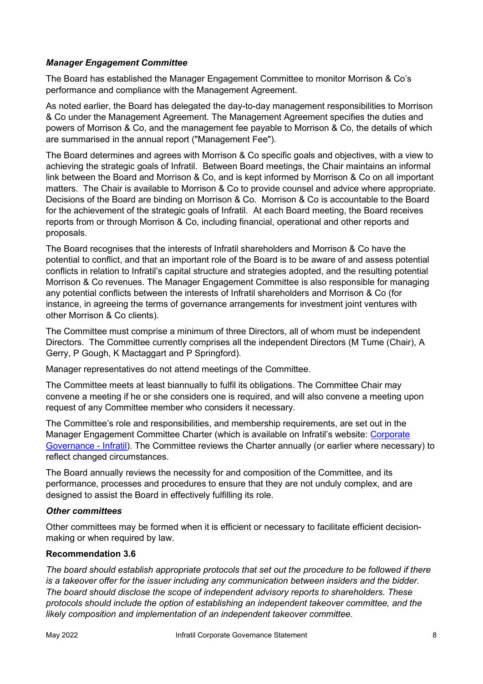# *Manager Engagement Committee*

The Board has established the Manager Engagement Committee to monitor Morrison & Co's performance and compliance with the Management Agreement.

As noted earlier, the Board has delegated the day-to-day management responsibilities to Morrison & Co under the Management Agreement. The Management Agreement specifies the duties and powers of Morrison & Co, and the management fee payable to Morrison & Co, the details of which are summarised in the annual report ("Management Fee").

The Board determines and agrees with Morrison & Co specific goals and objectives, with a view to achieving the strategic goals of Infratil. Between Board meetings, the Chair maintains an informal link between the Board and Morrison & Co, and is kept informed by Morrison & Co on all important matters. The Chair is available to Morrison & Co to provide counsel and advice where appropriate. Decisions of the Board are binding on Morrison & Co. Morrison & Co is accountable to the Board for the achievement of the strategic goals of Infratil. At each Board meeting, the Board receives reports from or through Morrison & Co, including financial, operational and other reports and proposals.

The Board recognises that the interests of Infratil shareholders and Morrison & Co have the potential to conflict, and that an important role of the Board is to be aware of and assess potential conflicts in relation to Infratil's capital structure and strategies adopted, and the resulting potential Morrison & Co revenues. The Manager Engagement Committee is also responsible for managing any potential conflicts between the interests of Infratil shareholders and Morrison & Co (for instance, in agreeing the terms of governance arrangements for investment joint ventures with other Morrison & Co clients).

The Committee must comprise a minimum of three Directors, all of whom must be independent Directors. The Committee currently comprises all the independent Directors (M Tume (Chair), A Gerry, P Gough, K Mactaggart and P Springford).

Manager representatives do not attend meetings of the Committee.

The Committee meets at least biannually to fulfil its obligations. The Committee Chair may convene a meeting if he or she considers one is required, and will also convene a meeting upon request of any Committee member who considers it necessary.

The Committee's role and responsibilities, and membership requirements, are set out in the Manager Engagement Committee Charter (which is available on Infratil's website: [Corporate](https://infratil.com/about-infratil/board/#our-governance-documents)  [Governance - Infratil\)](https://infratil.com/about-infratil/board/#our-governance-documents). The Committee reviews the Charter annually (or earlier where necessary) to reflect changed circumstances.

The Board annually reviews the necessity for and composition of the Committee, and its performance, processes and procedures to ensure that they are not unduly complex, and are designed to assist the Board in effectively fulfilling its role.

## *Other committees*

Other committees may be formed when it is efficient or necessary to facilitate efficient decisionmaking or when required by law.

## **Recommendation 3.6**

*The board should establish appropriate protocols that set out the procedure to be followed if there is a takeover offer for the issuer including any communication between insiders and the bidder. The board should disclose the scope of independent advisory reports to shareholders. These protocols should include the option of establishing an independent takeover committee, and the likely composition and implementation of an independent takeover committee.*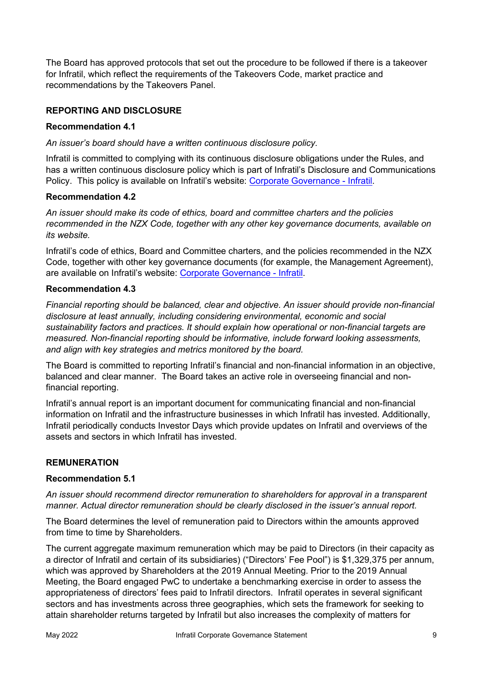The Board has approved protocols that set out the procedure to be followed if there is a takeover for Infratil, which reflect the requirements of the Takeovers Code, market practice and recommendations by the Takeovers Panel.

# **REPORTING AND DISCLOSURE**

#### **Recommendation 4.1**

*An issuer's board should have a written continuous disclosure policy.* 

Infratil is committed to complying with its continuous disclosure obligations under the Rules, and has a written continuous disclosure policy which is part of Infratil's Disclosure and Communications Policy. This policy is available on Infratil's website: [Corporate Governance - Infratil.](https://infratil.com/about-infratil/board/#our-governance-documents)

#### **Recommendation 4.2**

*An issuer should make its code of ethics, board and committee charters and the policies recommended in the NZX Code, together with any other key governance documents, available on its website.*

Infratil's code of ethics, Board and Committee charters, and the policies recommended in the NZX Code, together with other key governance documents (for example, the Management Agreement), are available on Infratil's website: [Corporate Governance - Infratil.](https://infratil.com/about-infratil/board/#our-governance-documents)

#### **Recommendation 4.3**

*Financial reporting should be balanced, clear and objective. An issuer should provide non-financial disclosure at least annually, including considering environmental, economic and social sustainability factors and practices. It should explain how operational or non-financial targets are measured. Non-financial reporting should be informative, include forward looking assessments, and align with key strategies and metrics monitored by the board.*

The Board is committed to reporting Infratil's financial and non-financial information in an objective, balanced and clear manner. The Board takes an active role in overseeing financial and nonfinancial reporting.

Infratil's annual report is an important document for communicating financial and non-financial information on Infratil and the infrastructure businesses in which Infratil has invested. Additionally, Infratil periodically conducts Investor Days which provide updates on Infratil and overviews of the assets and sectors in which Infratil has invested.

#### **REMUNERATION**

#### **Recommendation 5.1**

*An issuer should recommend director remuneration to shareholders for approval in a transparent manner. Actual director remuneration should be clearly disclosed in the issuer's annual report.*

The Board determines the level of remuneration paid to Directors within the amounts approved from time to time by Shareholders.

The current aggregate maximum remuneration which may be paid to Directors (in their capacity as a director of Infratil and certain of its subsidiaries) ("Directors' Fee Pool") is \$1,329,375 per annum, which was approved by Shareholders at the 2019 Annual Meeting. Prior to the 2019 Annual Meeting, the Board engaged PwC to undertake a benchmarking exercise in order to assess the appropriateness of directors' fees paid to Infratil directors. Infratil operates in several significant sectors and has investments across three geographies, which sets the framework for seeking to attain shareholder returns targeted by Infratil but also increases the complexity of matters for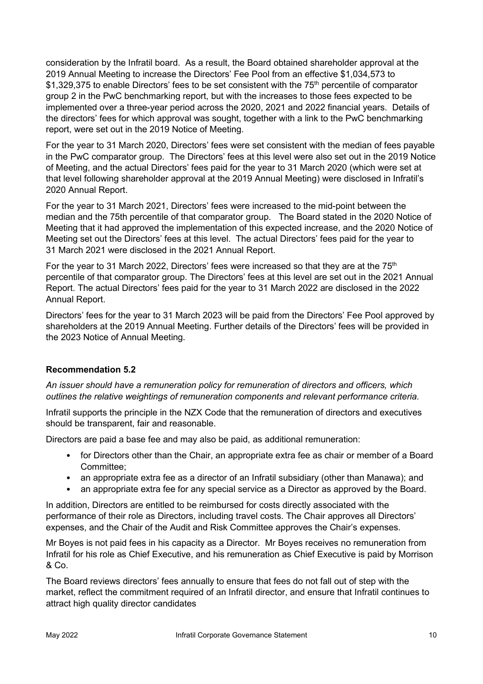consideration by the Infratil board. As a result, the Board obtained shareholder approval at the 2019 Annual Meeting to increase the Directors' Fee Pool from an effective \$1,034,573 to \$1,329,375 to enable Directors' fees to be set consistent with the 75<sup>th</sup> percentile of comparator group 2 in the PwC benchmarking report, but with the increases to those fees expected to be implemented over a three-year period across the 2020, 2021 and 2022 financial years. Details of the directors' fees for which approval was sought, together with a link to the PwC benchmarking report, were set out in the 2019 Notice of Meeting.

For the year to 31 March 2020, Directors' fees were set consistent with the median of fees payable in the PwC comparator group. The Directors' fees at this level were also set out in the 2019 Notice of Meeting, and the actual Directors' fees paid for the year to 31 March 2020 (which were set at that level following shareholder approval at the 2019 Annual Meeting) were disclosed in Infratil's 2020 Annual Report.

For the year to 31 March 2021, Directors' fees were increased to the mid-point between the median and the 75th percentile of that comparator group. The Board stated in the 2020 Notice of Meeting that it had approved the implementation of this expected increase, and the 2020 Notice of Meeting set out the Directors' fees at this level. The actual Directors' fees paid for the year to 31 March 2021 were disclosed in the 2021 Annual Report.

For the year to 31 March 2022, Directors' fees were increased so that they are at the  $75<sup>th</sup>$ percentile of that comparator group. The Directors' fees at this level are set out in the 2021 Annual Report. The actual Directors' fees paid for the year to 31 March 2022 are disclosed in the 2022 Annual Report.

Directors' fees for the year to 31 March 2023 will be paid from the Directors' Fee Pool approved by shareholders at the 2019 Annual Meeting. Further details of the Directors' fees will be provided in the 2023 Notice of Annual Meeting.

# **Recommendation 5.2**

*An issuer should have a remuneration policy for remuneration of directors and officers, which outlines the relative weightings of remuneration components and relevant performance criteria.*

Infratil supports the principle in the NZX Code that the remuneration of directors and executives should be transparent, fair and reasonable.

Directors are paid a base fee and may also be paid, as additional remuneration:

- for Directors other than the Chair, an appropriate extra fee as chair or member of a Board Committee;
- an appropriate extra fee as a director of an Infratil subsidiary (other than Manawa); and
- an appropriate extra fee for any special service as a Director as approved by the Board.

In addition, Directors are entitled to be reimbursed for costs directly associated with the performance of their role as Directors, including travel costs. The Chair approves all Directors' expenses, and the Chair of the Audit and Risk Committee approves the Chair's expenses.

Mr Boyes is not paid fees in his capacity as a Director. Mr Boyes receives no remuneration from Infratil for his role as Chief Executive, and his remuneration as Chief Executive is paid by Morrison & Co.

The Board reviews directors' fees annually to ensure that fees do not fall out of step with the market, reflect the commitment required of an Infratil director, and ensure that Infratil continues to attract high quality director candidates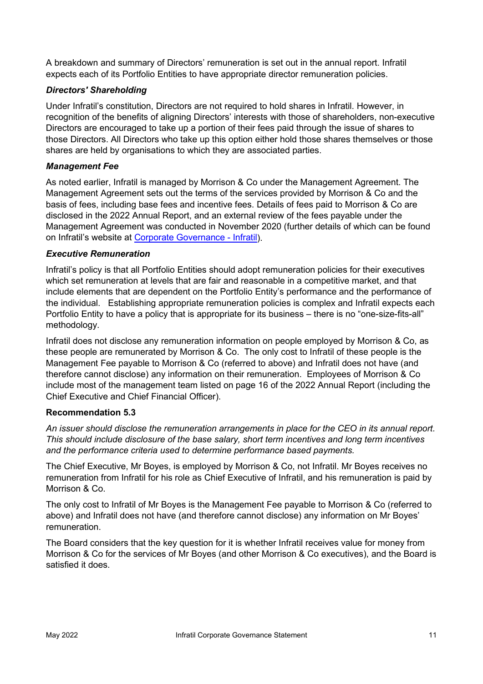A breakdown and summary of Directors' remuneration is set out in the annual report. Infratil expects each of its Portfolio Entities to have appropriate director remuneration policies.

# *Directors' Shareholding*

Under Infratil's constitution, Directors are not required to hold shares in Infratil. However, in recognition of the benefits of aligning Directors' interests with those of shareholders, non-executive Directors are encouraged to take up a portion of their fees paid through the issue of shares to those Directors. All Directors who take up this option either hold those shares themselves or those shares are held by organisations to which they are associated parties.

# *Management Fee*

As noted earlier, Infratil is managed by Morrison & Co under the Management Agreement. The Management Agreement sets out the terms of the services provided by Morrison & Co and the basis of fees, including base fees and incentive fees. Details of fees paid to Morrison & Co are disclosed in the 2022 Annual Report, and an external review of the fees payable under the Management Agreement was conducted in November 2020 (further details of which can be found on Infratil's website at [Corporate Governance - Infratil\)](https://infratil.com/about-infratil/board/#our-governance-documents).

## *Executive Remuneration*

Infratil's policy is that all Portfolio Entities should adopt remuneration policies for their executives which set remuneration at levels that are fair and reasonable in a competitive market, and that include elements that are dependent on the Portfolio Entity's performance and the performance of the individual. Establishing appropriate remuneration policies is complex and Infratil expects each Portfolio Entity to have a policy that is appropriate for its business – there is no "one-size-fits-all" methodology.

Infratil does not disclose any remuneration information on people employed by Morrison & Co, as these people are remunerated by Morrison & Co. The only cost to Infratil of these people is the Management Fee payable to Morrison & Co (referred to above) and Infratil does not have (and therefore cannot disclose) any information on their remuneration. Employees of Morrison & Co include most of the management team listed on page 16 of the 2022 Annual Report (including the Chief Executive and Chief Financial Officer).

## **Recommendation 5.3**

*An issuer should disclose the remuneration arrangements in place for the CEO in its annual report. This should include disclosure of the base salary, short term incentives and long term incentives and the performance criteria used to determine performance based payments.*

The Chief Executive, Mr Boyes, is employed by Morrison & Co, not Infratil. Mr Boyes receives no remuneration from Infratil for his role as Chief Executive of Infratil, and his remuneration is paid by Morrison & Co.

The only cost to Infratil of Mr Boyes is the Management Fee payable to Morrison & Co (referred to above) and Infratil does not have (and therefore cannot disclose) any information on Mr Boyes' remuneration.

The Board considers that the key question for it is whether Infratil receives value for money from Morrison & Co for the services of Mr Boyes (and other Morrison & Co executives), and the Board is satisfied it does.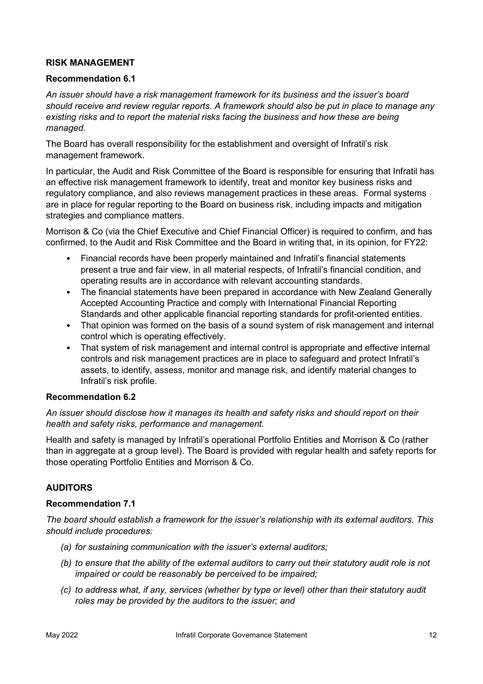# **RISK MANAGEMENT**

#### **Recommendation 6.1**

*An issuer should have a risk management framework for its business and the issuer's board should receive and review regular reports. A framework should also be put in place to manage any existing risks and to report the material risks facing the business and how these are being managed.*

The Board has overall responsibility for the establishment and oversight of Infratil's risk management framework.

In particular, the Audit and Risk Committee of the Board is responsible for ensuring that Infratil has an effective risk management framework to identify, treat and monitor key business risks and regulatory compliance, and also reviews management practices in these areas. Formal systems are in place for regular reporting to the Board on business risk, including impacts and mitigation strategies and compliance matters.

Morrison & Co (via the Chief Executive and Chief Financial Officer) is required to confirm, and has confirmed, to the Audit and Risk Committee and the Board in writing that, in its opinion, for FY22:

- Financial records have been properly maintained and Infratil's financial statements present a true and fair view, in all material respects, of Infratil's financial condition, and operating results are in accordance with relevant accounting standards.
- The financial statements have been prepared in accordance with New Zealand Generally Accepted Accounting Practice and comply with International Financial Reporting Standards and other applicable financial reporting standards for profit-oriented entities.
- That opinion was formed on the basis of a sound system of risk management and internal control which is operating effectively.
- That system of risk management and internal control is appropriate and effective internal controls and risk management practices are in place to safeguard and protect Infratil's assets, to identify, assess, monitor and manage risk, and identify material changes to Infratil's risk profile.

## **Recommendation 6.2**

*An issuer should disclose how it manages its health and safety risks and should report on their health and safety risks, performance and management.*

Health and safety is managed by Infratil's operational Portfolio Entities and Morrison & Co (rather than in aggregate at a group level). The Board is provided with regular health and safety reports for those operating Portfolio Entities and Morrison & Co.

## **AUDITORS**

#### **Recommendation 7.1**

*The board should establish a framework for the issuer's relationship with its external auditors. This should include procedures:* 

- *(a) for sustaining communication with the issuer's external auditors;*
- *(b) to ensure that the ability of the external auditors to carry out their statutory audit role is not impaired or could be reasonably be perceived to be impaired;*
- *(c) to address what, if any, services (whether by type or level) other than their statutory audit roles may be provided by the auditors to the issuer; and*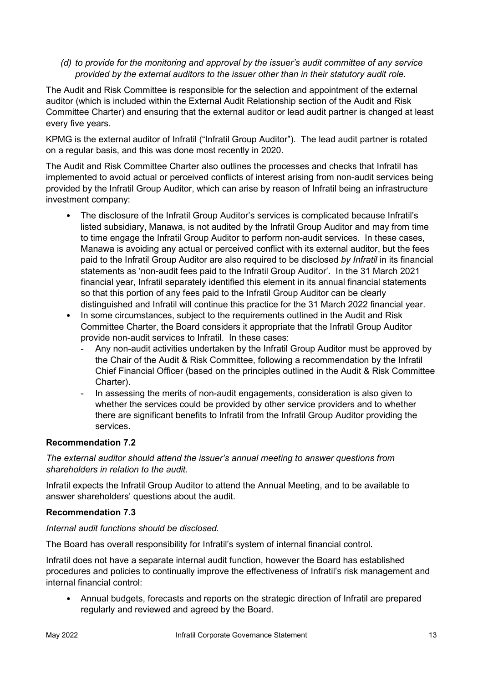*(d) to provide for the monitoring and approval by the issuer's audit committee of any service provided by the external auditors to the issuer other than in their statutory audit role.*

The Audit and Risk Committee is responsible for the selection and appointment of the external auditor (which is included within the External Audit Relationship section of the Audit and Risk Committee Charter) and ensuring that the external auditor or lead audit partner is changed at least every five years.

KPMG is the external auditor of Infratil ("Infratil Group Auditor"). The lead audit partner is rotated on a regular basis, and this was done most recently in 2020.

The Audit and Risk Committee Charter also outlines the processes and checks that Infratil has implemented to avoid actual or perceived conflicts of interest arising from non-audit services being provided by the Infratil Group Auditor, which can arise by reason of Infratil being an infrastructure investment company:

- The disclosure of the Infratil Group Auditor's services is complicated because Infratil's listed subsidiary, Manawa, is not audited by the Infratil Group Auditor and may from time to time engage the Infratil Group Auditor to perform non-audit services. In these cases, Manawa is avoiding any actual or perceived conflict with its external auditor, but the fees paid to the Infratil Group Auditor are also required to be disclosed *by Infratil* in its financial statements as 'non-audit fees paid to the Infratil Group Auditor'. In the 31 March 2021 financial year, Infratil separately identified this element in its annual financial statements so that this portion of any fees paid to the Infratil Group Auditor can be clearly distinguished and Infratil will continue this practice for the 31 March 2022 financial year.
- In some circumstances, subject to the requirements outlined in the Audit and Risk Committee Charter, the Board considers it appropriate that the Infratil Group Auditor provide non-audit services to Infratil. In these cases:
	- Any non-audit activities undertaken by the Infratil Group Auditor must be approved by the Chair of the Audit & Risk Committee, following a recommendation by the Infratil Chief Financial Officer (based on the principles outlined in the Audit & Risk Committee Charter).
	- In assessing the merits of non-audit engagements, consideration is also given to whether the services could be provided by other service providers and to whether there are significant benefits to Infratil from the Infratil Group Auditor providing the services.

# **Recommendation 7.2**

*The external auditor should attend the issuer's annual meeting to answer questions from shareholders in relation to the audit.*

Infratil expects the Infratil Group Auditor to attend the Annual Meeting, and to be available to answer shareholders' questions about the audit.

## **Recommendation 7.3**

## *Internal audit functions should be disclosed.*

The Board has overall responsibility for Infratil's system of internal financial control.

Infratil does not have a separate internal audit function, however the Board has established procedures and policies to continually improve the effectiveness of Infratil's risk management and internal financial control:

• Annual budgets, forecasts and reports on the strategic direction of Infratil are prepared regularly and reviewed and agreed by the Board.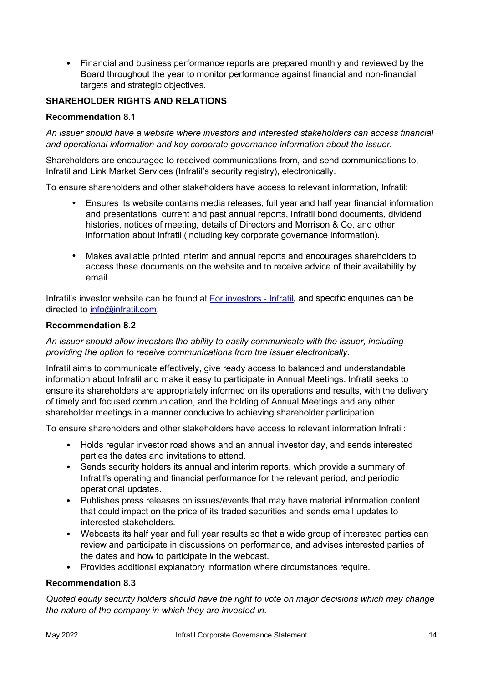• Financial and business performance reports are prepared monthly and reviewed by the Board throughout the year to monitor performance against financial and non-financial targets and strategic objectives.

# **SHAREHOLDER RIGHTS AND RELATIONS**

# **Recommendation 8.1**

*An issuer should have a website where investors and interested stakeholders can access financial and operational information and key corporate governance information about the issuer.*

Shareholders are encouraged to received communications from, and send communications to, Infratil and Link Market Services (Infratil's security registry), electronically.

To ensure shareholders and other stakeholders have access to relevant information, Infratil:

- Ensures its website contains media releases, full year and half year financial information and presentations, current and past annual reports, Infratil bond documents, dividend histories, notices of meeting, details of Directors and Morrison & Co, and other information about Infratil (including key corporate governance information).
- Makes available printed interim and annual reports and encourages shareholders to access these documents on the website and to receive advice of their availability by email.

Infratil's investor website can be found at [For investors - Infratil,](https://infratil.com/for-investors/) and specific enquiries can be directed to [info@infratil.com.](mailto:info@infratil.com)

## **Recommendation 8.2**

*An issuer should allow investors the ability to easily communicate with the issuer, including providing the option to receive communications from the issuer electronically.*

Infratil aims to communicate effectively, give ready access to balanced and understandable information about Infratil and make it easy to participate in Annual Meetings. Infratil seeks to ensure its shareholders are appropriately informed on its operations and results, with the delivery of timely and focused communication, and the holding of Annual Meetings and any other shareholder meetings in a manner conducive to achieving shareholder participation.

To ensure shareholders and other stakeholders have access to relevant information Infratil:

- Holds regular investor road shows and an annual investor day, and sends interested parties the dates and invitations to attend.
- Sends security holders its annual and interim reports, which provide a summary of Infratil's operating and financial performance for the relevant period, and periodic operational updates.
- Publishes press releases on issues/events that may have material information content that could impact on the price of its traded securities and sends email updates to interested stakeholders.
- Webcasts its half year and full year results so that a wide group of interested parties can review and participate in discussions on performance, and advises interested parties of the dates and how to participate in the webcast.
- Provides additional explanatory information where circumstances require.

# **Recommendation 8.3**

*Quoted equity security holders should have the right to vote on major decisions which may change the nature of the company in which they are invested in.*